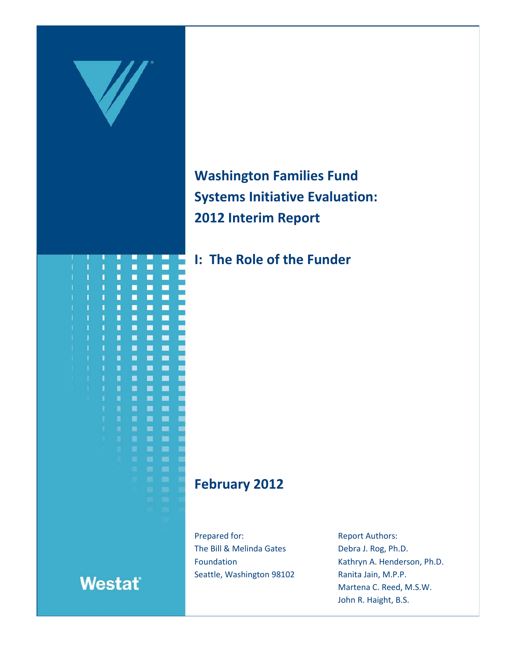

**Washington Families Fund Systems Initiative Evaluation: 2012 Interim Report**

**I: The Role of the Funder**

# **February 2012**

Prepared for: The Bill & Melinda Gates Foundation Seattle, Washington 98102 Report Authors: Debra J. Rog, Ph.D. Kathryn A. Henderson, Ph.D. Ranita Jain, M.P.P. Martena C. Reed, M.S.W. John R. Haight, B.S.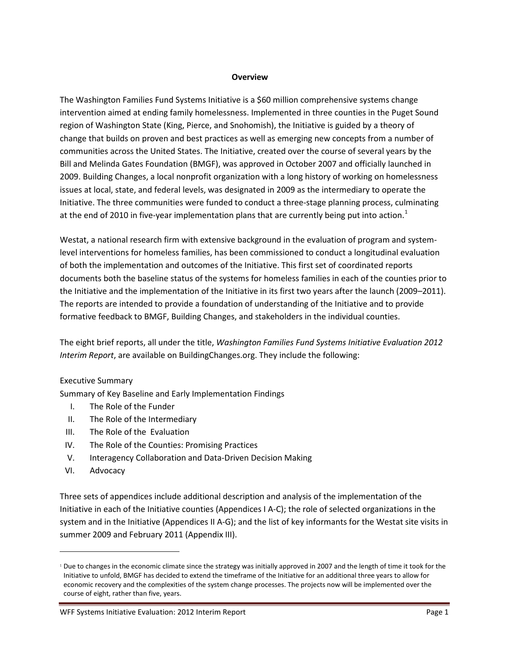#### **Overview**

The Washington Families Fund Systems Initiative is a \$60 million comprehensive systems change intervention aimed at ending family homelessness. Implemented in three counties in the Puget Sound region of Washington State (King, Pierce, and Snohomish), the Initiative is guided by a theory of change that builds on proven and best practices as well as emerging new concepts from a number of communities across the United States. The Initiative, created over the course of several years by the Bill and Melinda Gates Foundation (BMGF), was approved in October 2007 and officially launched in 2009. Building Changes, a local nonprofit organization with a long history of working on homelessness issues at local, state, and federal levels, was designated in 2009 as the intermediary to operate the Initiative. The three communities were funded to conduct a three-stage planning process, culminating at the end of 20[1](#page-1-0)0 in five-year implementation plans that are currently being put into action.<sup>1</sup>

Westat, a national research firm with extensive background in the evaluation of program and systemlevel interventions for homeless families, has been commissioned to conduct a longitudinal evaluation of both the implementation and outcomes of the Initiative. This first set of coordinated reports documents both the baseline status of the systems for homeless families in each of the counties prior to the Initiative and the implementation of the Initiative in its first two years after the launch (2009–2011). The reports are intended to provide a foundation of understanding of the Initiative and to provide formative feedback to BMGF, Building Changes, and stakeholders in the individual counties.

The eight brief reports, all under the title, *Washington Families Fund Systems Initiative Evaluation 2012 Interim Report*, are available on BuildingChanges.org. They include the following:

### Executive Summary

Summary of Key Baseline and Early Implementation Findings

- I. The Role of the Funder
- II. The Role of the Intermediary
- III. The Role of the Evaluation
- IV. The Role of the Counties: Promising Practices
- V. Interagency Collaboration and Data-Driven Decision Making
- VI. Advocacy

 $\overline{a}$ 

Three sets of appendices include additional description and analysis of the implementation of the Initiative in each of the Initiative counties (Appendices I A-C); the role of selected organizations in the system and in the Initiative (Appendices II A-G); and the list of key informants for the Westat site visits in summer 2009 and February 2011 (Appendix III).

<span id="page-1-0"></span><sup>&</sup>lt;sup>1</sup> Due to changes in the economic climate since the strategy was initially approved in 2007 and the length of time it took for the Initiative to unfold, BMGF has decided to extend the timeframe of the Initiative for an additional three years to allow for economic recovery and the complexities of the system change processes. The projects now will be implemented over the course of eight, rather than five, years.

WFF Systems Initiative Evaluation: 2012 Interim Report **Page 1** and Page 1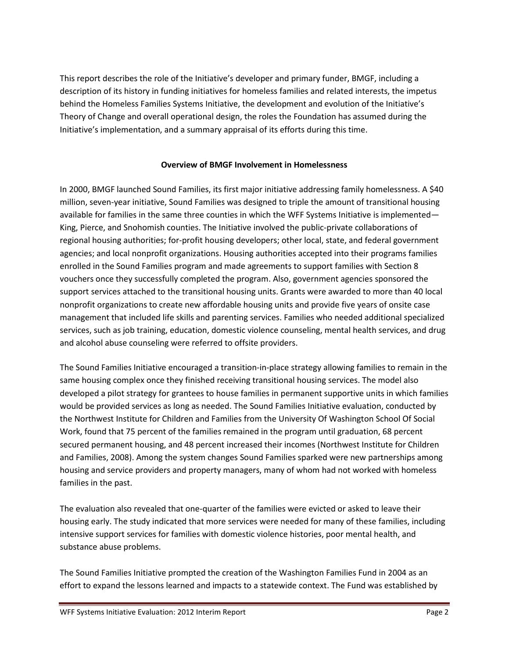This report describes the role of the Initiative's developer and primary funder, BMGF, including a description of its history in funding initiatives for homeless families and related interests, the impetus behind the Homeless Families Systems Initiative, the development and evolution of the Initiative's Theory of Change and overall operational design, the roles the Foundation has assumed during the Initiative's implementation, and a summary appraisal of its efforts during this time.

# **Overview of BMGF Involvement in Homelessness**

In 2000, BMGF launched Sound Families, its first major initiative addressing family homelessness. A \$40 million, seven-year initiative, Sound Families was designed to triple the amount of transitional housing available for families in the same three counties in which the WFF Systems Initiative is implemented— King, Pierce, and Snohomish counties. The Initiative involved the public-private collaborations of regional housing authorities; for-profit housing developers; other local, state, and federal government agencies; and local nonprofit organizations. Housing authorities accepted into their programs families enrolled in the Sound Families program and made agreements to support families with Section 8 vouchers once they successfully completed the program. Also, government agencies sponsored the support services attached to the transitional housing units. Grants were awarded to more than 40 local nonprofit organizations to create new affordable housing units and provide five years of onsite case management that included life skills and parenting services. Families who needed additional specialized services, such as job training, education, domestic violence counseling, mental health services, and drug and alcohol abuse counseling were referred to offsite providers.

The Sound Families Initiative encouraged a transition-in-place strategy allowing families to remain in the same housing complex once they finished receiving transitional housing services. The model also developed a pilot strategy for grantees to house families in permanent supportive units in which families would be provided services as long as needed. The Sound Families Initiative evaluation, conducted by the Northwest Institute for Children and Families from the University Of Washington School Of Social Work, found that 75 percent of the families remained in the program until graduation, 68 percent secured permanent housing, and 48 percent increased their incomes (Northwest Institute for Children and Families, 2008). Among the system changes Sound Families sparked were new partnerships among housing and service providers and property managers, many of whom had not worked with homeless families in the past.

The evaluation also revealed that one-quarter of the families were evicted or asked to leave their housing early. The study indicated that more services were needed for many of these families, including intensive support services for families with domestic violence histories, poor mental health, and substance abuse problems.

The Sound Families Initiative prompted the creation of the Washington Families Fund in 2004 as an effort to expand the lessons learned and impacts to a statewide context. The Fund was established by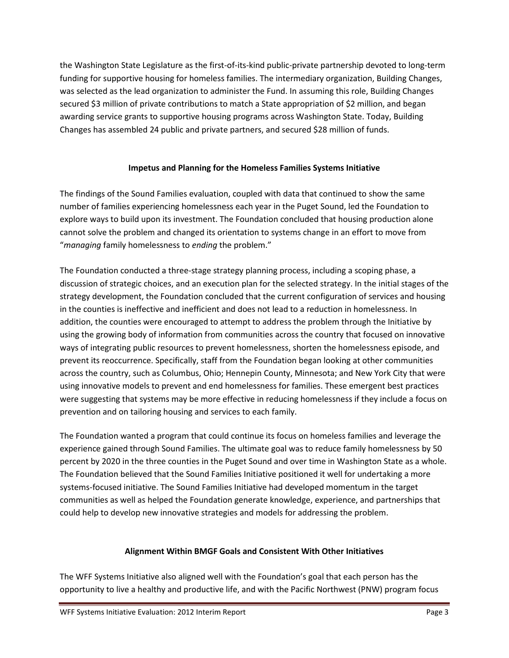the Washington State Legislature as the first-of-its-kind public-private partnership devoted to long-term funding for supportive housing for homeless families. The intermediary organization, Building Changes, was selected as the lead organization to administer the Fund. In assuming this role, Building Changes secured \$3 million of private contributions to match a State appropriation of \$2 million, and began awarding service grants to supportive housing programs across Washington State. Today, Building Changes has assembled 24 public and private partners, and secured \$28 million of funds.

# **Impetus and Planning for the Homeless Families Systems Initiative**

The findings of the Sound Families evaluation, coupled with data that continued to show the same number of families experiencing homelessness each year in the Puget Sound, led the Foundation to explore ways to build upon its investment. The Foundation concluded that housing production alone cannot solve the problem and changed its orientation to systems change in an effort to move from "*managing* family homelessness to *ending* the problem."

The Foundation conducted a three-stage strategy planning process, including a scoping phase, a discussion of strategic choices, and an execution plan for the selected strategy. In the initial stages of the strategy development, the Foundation concluded that the current configuration of services and housing in the counties is ineffective and inefficient and does not lead to a reduction in homelessness. In addition, the counties were encouraged to attempt to address the problem through the Initiative by using the growing body of information from communities across the country that focused on innovative ways of integrating public resources to prevent homelessness, shorten the homelessness episode, and prevent its reoccurrence. Specifically, staff from the Foundation began looking at other communities across the country, such as Columbus, Ohio; Hennepin County, Minnesota; and New York City that were using innovative models to prevent and end homelessness for families. These emergent best practices were suggesting that systems may be more effective in reducing homelessness if they include a focus on prevention and on tailoring housing and services to each family.

The Foundation wanted a program that could continue its focus on homeless families and leverage the experience gained through Sound Families. The ultimate goal was to reduce family homelessness by 50 percent by 2020 in the three counties in the Puget Sound and over time in Washington State as a whole. The Foundation believed that the Sound Families Initiative positioned it well for undertaking a more systems-focused initiative. The Sound Families Initiative had developed momentum in the target communities as well as helped the Foundation generate knowledge, experience, and partnerships that could help to develop new innovative strategies and models for addressing the problem.

# **Alignment Within BMGF Goals and Consistent With Other Initiatives**

The WFF Systems Initiative also aligned well with the Foundation's goal that each person has the opportunity to live a healthy and productive life, and with the Pacific Northwest (PNW) program focus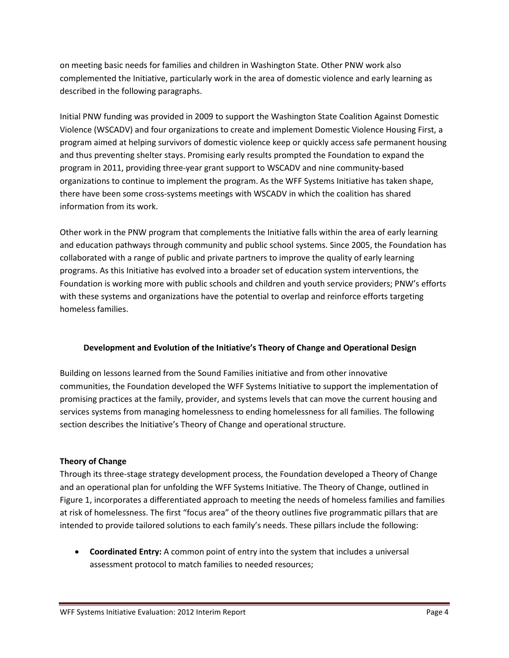on meeting basic needs for families and children in Washington State. Other PNW work also complemented the Initiative, particularly work in the area of domestic violence and early learning as described in the following paragraphs.

Initial PNW funding was provided in 2009 to support the Washington State Coalition Against Domestic Violence (WSCADV) and four organizations to create and implement Domestic Violence Housing First, a program aimed at helping survivors of domestic violence keep or quickly access safe permanent housing and thus preventing shelter stays. Promising early results prompted the Foundation to expand the program in 2011, providing three-year grant support to WSCADV and nine community-based organizations to continue to implement the program. As the WFF Systems Initiative has taken shape, there have been some cross-systems meetings with WSCADV in which the coalition has shared information from its work.

Other work in the PNW program that complements the Initiative falls within the area of early learning and education pathways through community and public school systems. Since 2005, the Foundation has collaborated with a range of public and private partners to improve the quality of early learning programs. As this Initiative has evolved into a broader set of education system interventions, the Foundation is working more with public schools and children and youth service providers; PNW's efforts with these systems and organizations have the potential to overlap and reinforce efforts targeting homeless families.

# **Development and Evolution of the Initiative's Theory of Change and Operational Design**

Building on lessons learned from the Sound Families initiative and from other innovative communities, the Foundation developed the WFF Systems Initiative to support the implementation of promising practices at the family, provider, and systems levels that can move the current housing and services systems from managing homelessness to ending homelessness for all families. The following section describes the Initiative's Theory of Change and operational structure.

# **Theory of Change**

Through its three-stage strategy development process, the Foundation developed a Theory of Change and an operational plan for unfolding the WFF Systems Initiative. The Theory of Change, outlined in Figure 1, incorporates a differentiated approach to meeting the needs of homeless families and families at risk of homelessness. The first "focus area" of the theory outlines five programmatic pillars that are intended to provide tailored solutions to each family's needs. These pillars include the following:

• **Coordinated Entry:** A common point of entry into the system that includes a universal assessment protocol to match families to needed resources;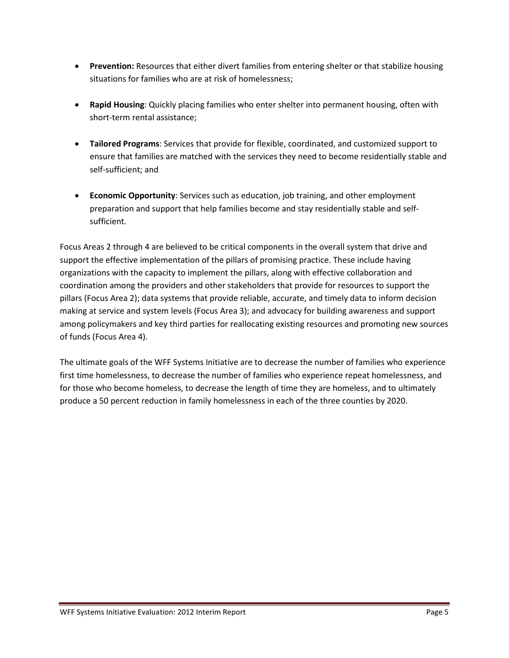- **Prevention:** Resources that either divert families from entering shelter or that stabilize housing situations for families who are at risk of homelessness;
- **Rapid Housing**: Quickly placing families who enter shelter into permanent housing, often with short-term rental assistance;
- **Tailored Programs**: Services that provide for flexible, coordinated, and customized support to ensure that families are matched with the services they need to become residentially stable and self-sufficient; and
- **Economic Opportunity**: Services such as education, job training, and other employment preparation and support that help families become and stay residentially stable and selfsufficient.

Focus Areas 2 through 4 are believed to be critical components in the overall system that drive and support the effective implementation of the pillars of promising practice. These include having organizations with the capacity to implement the pillars, along with effective collaboration and coordination among the providers and other stakeholders that provide for resources to support the pillars (Focus Area 2); data systems that provide reliable, accurate, and timely data to inform decision making at service and system levels (Focus Area 3); and advocacy for building awareness and support among policymakers and key third parties for reallocating existing resources and promoting new sources of funds (Focus Area 4).

The ultimate goals of the WFF Systems Initiative are to decrease the number of families who experience first time homelessness, to decrease the number of families who experience repeat homelessness, and for those who become homeless, to decrease the length of time they are homeless, and to ultimately produce a 50 percent reduction in family homelessness in each of the three counties by 2020.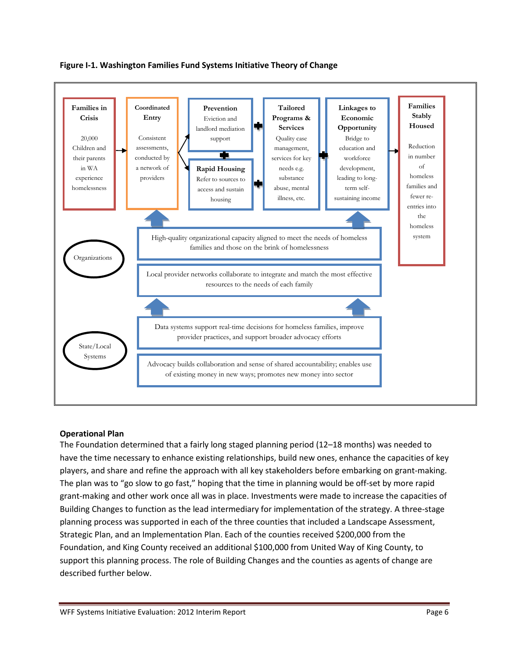

**Figure I-1. Washington Families Fund Systems Initiative Theory of Change**

# **Operational Plan**

The Foundation determined that a fairly long staged planning period (12–18 months) was needed to have the time necessary to enhance existing relationships, build new ones, enhance the capacities of key players, and share and refine the approach with all key stakeholders before embarking on grant-making. The plan was to "go slow to go fast," hoping that the time in planning would be off-set by more rapid grant-making and other work once all was in place. Investments were made to increase the capacities of Building Changes to function as the lead intermediary for implementation of the strategy. A three-stage planning process was supported in each of the three counties that included a Landscape Assessment, Strategic Plan, and an Implementation Plan. Each of the counties received \$200,000 from the Foundation, and King County received an additional \$100,000 from United Way of King County, to support this planning process. The role of Building Changes and the counties as agents of change are described further below.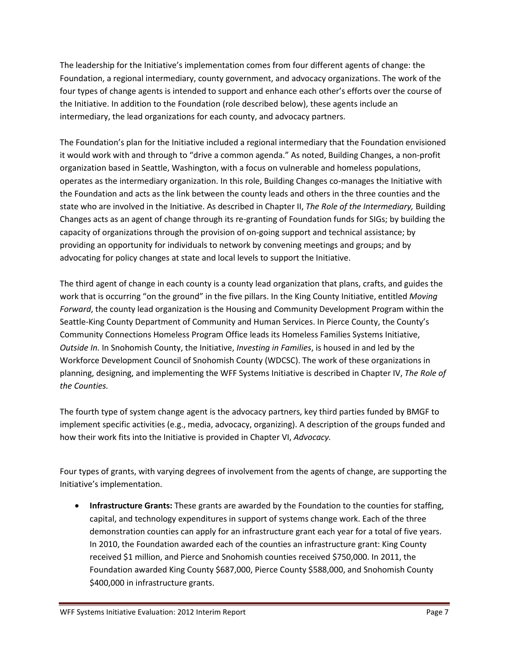The leadership for the Initiative's implementation comes from four different agents of change: the Foundation, a regional intermediary, county government, and advocacy organizations. The work of the four types of change agents is intended to support and enhance each other's efforts over the course of the Initiative. In addition to the Foundation (role described below), these agents include an intermediary, the lead organizations for each county, and advocacy partners.

The Foundation's plan for the Initiative included a regional intermediary that the Foundation envisioned it would work with and through to "drive a common agenda." As noted, Building Changes, a non-profit organization based in Seattle, Washington, with a focus on vulnerable and homeless populations, operates as the intermediary organization. In this role, Building Changes co-manages the Initiative with the Foundation and acts as the link between the county leads and others in the three counties and the state who are involved in the Initiative. As described in Chapter II, *The Role of the Intermediary,* Building Changes acts as an agent of change through its re-granting of Foundation funds for SIGs; by building the capacity of organizations through the provision of on-going support and technical assistance; by providing an opportunity for individuals to network by convening meetings and groups; and by advocating for policy changes at state and local levels to support the Initiative.

The third agent of change in each county is a county lead organization that plans, crafts, and guides the work that is occurring "on the ground" in the five pillars. In the King County Initiative, entitled *Moving Forward*, the county lead organization is the Housing and Community Development Program within the Seattle-King County Department of Community and Human Services. In Pierce County, the County's Community Connections Homeless Program Office leads its Homeless Families Systems Initiative, *Outside In.* In Snohomish County, the Initiative, *Investing in Families*, is housed in and led by the Workforce Development Council of Snohomish County (WDCSC). The work of these organizations in planning, designing, and implementing the WFF Systems Initiative is described in Chapter IV, *The Role of the Counties.*

The fourth type of system change agent is the advocacy partners, key third parties funded by BMGF to implement specific activities (e.g., media, advocacy, organizing). A description of the groups funded and how their work fits into the Initiative is provided in Chapter VI, *Advocacy.*

Four types of grants, with varying degrees of involvement from the agents of change, are supporting the Initiative's implementation.

• **Infrastructure Grants:** These grants are awarded by the Foundation to the counties for staffing, capital, and technology expenditures in support of systems change work. Each of the three demonstration counties can apply for an infrastructure grant each year for a total of five years. In 2010, the Foundation awarded each of the counties an infrastructure grant: King County received \$1 million, and Pierce and Snohomish counties received \$750,000. In 2011, the Foundation awarded King County \$687,000, Pierce County \$588,000, and Snohomish County \$400,000 in infrastructure grants.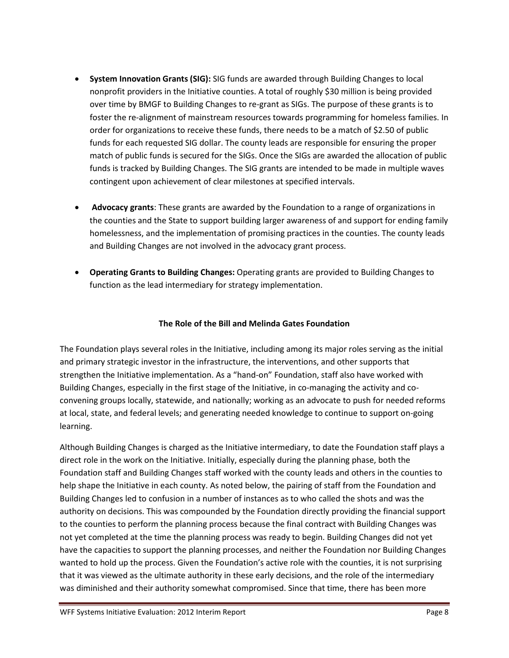- **System Innovation Grants (SIG):** SIG funds are awarded through Building Changes to local nonprofit providers in the Initiative counties. A total of roughly \$30 million is being provided over time by BMGF to Building Changes to re-grant as SIGs. The purpose of these grants is to foster the re-alignment of mainstream resources towards programming for homeless families. In order for organizations to receive these funds, there needs to be a match of \$2.50 of public funds for each requested SIG dollar. The county leads are responsible for ensuring the proper match of public funds is secured for the SIGs. Once the SIGs are awarded the allocation of public funds is tracked by Building Changes. The SIG grants are intended to be made in multiple waves contingent upon achievement of clear milestones at specified intervals.
- **Advocacy grants**: These grants are awarded by the Foundation to a range of organizations in the counties and the State to support building larger awareness of and support for ending family homelessness, and the implementation of promising practices in the counties. The county leads and Building Changes are not involved in the advocacy grant process.
- **Operating Grants to Building Changes:** Operating grants are provided to Building Changes to function as the lead intermediary for strategy implementation.

# **The Role of the Bill and Melinda Gates Foundation**

The Foundation plays several roles in the Initiative, including among its major roles serving as the initial and primary strategic investor in the infrastructure, the interventions, and other supports that strengthen the Initiative implementation. As a "hand-on" Foundation, staff also have worked with Building Changes, especially in the first stage of the Initiative, in co-managing the activity and coconvening groups locally, statewide, and nationally; working as an advocate to push for needed reforms at local, state, and federal levels; and generating needed knowledge to continue to support on-going learning.

Although Building Changes is charged as the Initiative intermediary, to date the Foundation staff plays a direct role in the work on the Initiative. Initially, especially during the planning phase, both the Foundation staff and Building Changes staff worked with the county leads and others in the counties to help shape the Initiative in each county. As noted below, the pairing of staff from the Foundation and Building Changes led to confusion in a number of instances as to who called the shots and was the authority on decisions. This was compounded by the Foundation directly providing the financial support to the counties to perform the planning process because the final contract with Building Changes was not yet completed at the time the planning process was ready to begin. Building Changes did not yet have the capacities to support the planning processes, and neither the Foundation nor Building Changes wanted to hold up the process. Given the Foundation's active role with the counties, it is not surprising that it was viewed as the ultimate authority in these early decisions, and the role of the intermediary was diminished and their authority somewhat compromised. Since that time, there has been more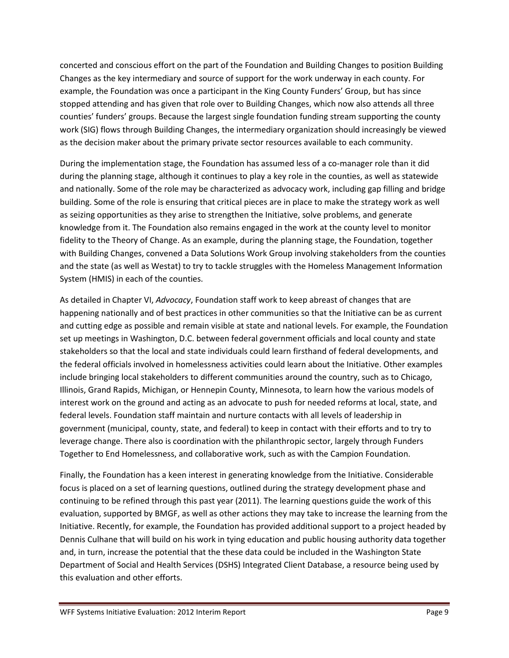concerted and conscious effort on the part of the Foundation and Building Changes to position Building Changes as the key intermediary and source of support for the work underway in each county. For example, the Foundation was once a participant in the King County Funders' Group, but has since stopped attending and has given that role over to Building Changes, which now also attends all three counties' funders' groups. Because the largest single foundation funding stream supporting the county work (SIG) flows through Building Changes, the intermediary organization should increasingly be viewed as the decision maker about the primary private sector resources available to each community.

During the implementation stage, the Foundation has assumed less of a co-manager role than it did during the planning stage, although it continues to play a key role in the counties, as well as statewide and nationally. Some of the role may be characterized as advocacy work, including gap filling and bridge building. Some of the role is ensuring that critical pieces are in place to make the strategy work as well as seizing opportunities as they arise to strengthen the Initiative, solve problems, and generate knowledge from it. The Foundation also remains engaged in the work at the county level to monitor fidelity to the Theory of Change. As an example, during the planning stage, the Foundation, together with Building Changes, convened a Data Solutions Work Group involving stakeholders from the counties and the state (as well as Westat) to try to tackle struggles with the Homeless Management Information System (HMIS) in each of the counties.

As detailed in Chapter VI, *Advocacy*, Foundation staff work to keep abreast of changes that are happening nationally and of best practices in other communities so that the Initiative can be as current and cutting edge as possible and remain visible at state and national levels. For example, the Foundation set up meetings in Washington, D.C. between federal government officials and local county and state stakeholders so that the local and state individuals could learn firsthand of federal developments, and the federal officials involved in homelessness activities could learn about the Initiative. Other examples include bringing local stakeholders to different communities around the country, such as to Chicago, Illinois, Grand Rapids, Michigan, or Hennepin County, Minnesota, to learn how the various models of interest work on the ground and acting as an advocate to push for needed reforms at local, state, and federal levels. Foundation staff maintain and nurture contacts with all levels of leadership in government (municipal, county, state, and federal) to keep in contact with their efforts and to try to leverage change. There also is coordination with the philanthropic sector, largely through Funders Together to End Homelessness, and collaborative work, such as with the Campion Foundation.

Finally, the Foundation has a keen interest in generating knowledge from the Initiative. Considerable focus is placed on a set of learning questions, outlined during the strategy development phase and continuing to be refined through this past year (2011). The learning questions guide the work of this evaluation, supported by BMGF, as well as other actions they may take to increase the learning from the Initiative. Recently, for example, the Foundation has provided additional support to a project headed by Dennis Culhane that will build on his work in tying education and public housing authority data together and, in turn, increase the potential that the these data could be included in the Washington State Department of Social and Health Services (DSHS) Integrated Client Database, a resource being used by this evaluation and other efforts.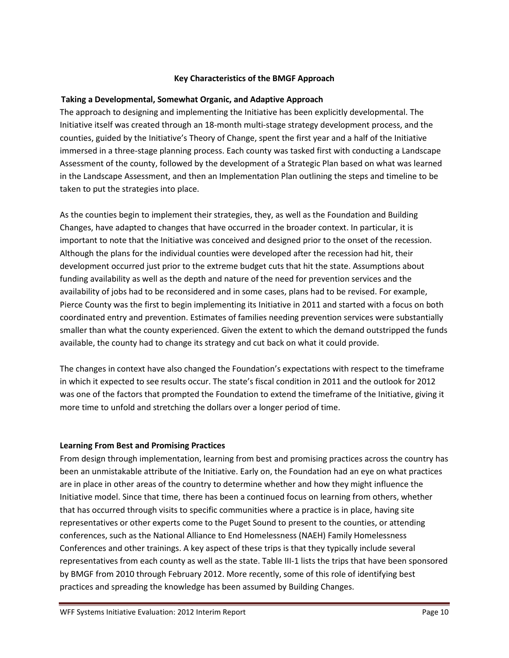## **Key Characteristics of the BMGF Approach**

#### **Taking a Developmental, Somewhat Organic, and Adaptive Approach**

The approach to designing and implementing the Initiative has been explicitly developmental. The Initiative itself was created through an 18-month multi-stage strategy development process, and the counties, guided by the Initiative's Theory of Change, spent the first year and a half of the Initiative immersed in a three-stage planning process. Each county was tasked first with conducting a Landscape Assessment of the county, followed by the development of a Strategic Plan based on what was learned in the Landscape Assessment, and then an Implementation Plan outlining the steps and timeline to be taken to put the strategies into place.

As the counties begin to implement their strategies, they, as well as the Foundation and Building Changes, have adapted to changes that have occurred in the broader context. In particular, it is important to note that the Initiative was conceived and designed prior to the onset of the recession. Although the plans for the individual counties were developed after the recession had hit, their development occurred just prior to the extreme budget cuts that hit the state. Assumptions about funding availability as well as the depth and nature of the need for prevention services and the availability of jobs had to be reconsidered and in some cases, plans had to be revised. For example, Pierce County was the first to begin implementing its Initiative in 2011 and started with a focus on both coordinated entry and prevention. Estimates of families needing prevention services were substantially smaller than what the county experienced. Given the extent to which the demand outstripped the funds available, the county had to change its strategy and cut back on what it could provide.

The changes in context have also changed the Foundation's expectations with respect to the timeframe in which it expected to see results occur. The state's fiscal condition in 2011 and the outlook for 2012 was one of the factors that prompted the Foundation to extend the timeframe of the Initiative, giving it more time to unfold and stretching the dollars over a longer period of time.

### **Learning From Best and Promising Practices**

From design through implementation, learning from best and promising practices across the country has been an unmistakable attribute of the Initiative. Early on, the Foundation had an eye on what practices are in place in other areas of the country to determine whether and how they might influence the Initiative model. Since that time, there has been a continued focus on learning from others, whether that has occurred through visits to specific communities where a practice is in place, having site representatives or other experts come to the Puget Sound to present to the counties, or attending conferences, such as the National Alliance to End Homelessness (NAEH) Family Homelessness Conferences and other trainings. A key aspect of these trips is that they typically include several representatives from each county as well as the state. Table III-1 lists the trips that have been sponsored by BMGF from 2010 through February 2012. More recently, some of this role of identifying best practices and spreading the knowledge has been assumed by Building Changes.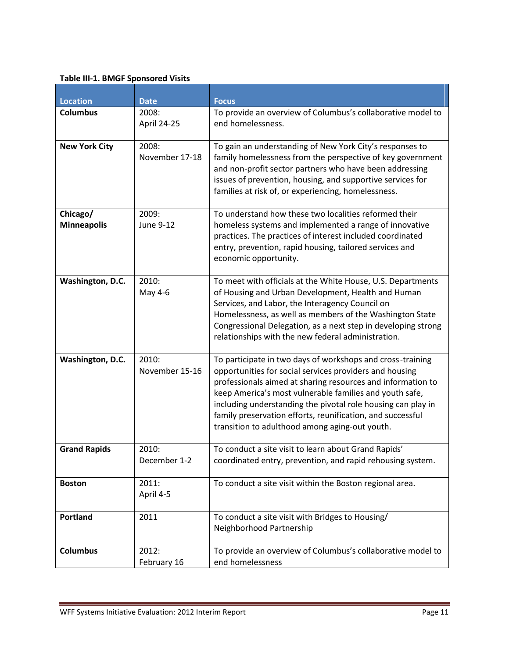## **Table III-1. BMGF Sponsored Visits**

| <b>Location</b><br><b>Columbus</b> | <b>Date</b><br>2008:      | <b>Focus</b><br>To provide an overview of Columbus's collaborative model to                                                                                                                                                                                                                                                                                                                                                     |
|------------------------------------|---------------------------|---------------------------------------------------------------------------------------------------------------------------------------------------------------------------------------------------------------------------------------------------------------------------------------------------------------------------------------------------------------------------------------------------------------------------------|
|                                    | April 24-25               | end homelessness.                                                                                                                                                                                                                                                                                                                                                                                                               |
| <b>New York City</b>               | 2008:<br>November 17-18   | To gain an understanding of New York City's responses to<br>family homelessness from the perspective of key government<br>and non-profit sector partners who have been addressing<br>issues of prevention, housing, and supportive services for<br>families at risk of, or experiencing, homelessness.                                                                                                                          |
| Chicago/<br><b>Minneapolis</b>     | 2009:<br><b>June 9-12</b> | To understand how these two localities reformed their<br>homeless systems and implemented a range of innovative<br>practices. The practices of interest included coordinated<br>entry, prevention, rapid housing, tailored services and<br>economic opportunity.                                                                                                                                                                |
| Washington, D.C.                   | 2010:<br>May 4-6          | To meet with officials at the White House, U.S. Departments<br>of Housing and Urban Development, Health and Human<br>Services, and Labor, the Interagency Council on<br>Homelessness, as well as members of the Washington State<br>Congressional Delegation, as a next step in developing strong<br>relationships with the new federal administration.                                                                         |
| Washington, D.C.                   | 2010:<br>November 15-16   | To participate in two days of workshops and cross-training<br>opportunities for social services providers and housing<br>professionals aimed at sharing resources and information to<br>keep America's most vulnerable families and youth safe,<br>including understanding the pivotal role housing can play in<br>family preservation efforts, reunification, and successful<br>transition to adulthood among aging-out youth. |
| <b>Grand Rapids</b>                | 2010:<br>December 1-2     | To conduct a site visit to learn about Grand Rapids'<br>coordinated entry, prevention, and rapid rehousing system.                                                                                                                                                                                                                                                                                                              |
| <b>Boston</b>                      | 2011:<br>April 4-5        | To conduct a site visit within the Boston regional area.                                                                                                                                                                                                                                                                                                                                                                        |
| Portland                           | 2011                      | To conduct a site visit with Bridges to Housing/<br>Neighborhood Partnership                                                                                                                                                                                                                                                                                                                                                    |
| <b>Columbus</b>                    | 2012:<br>February 16      | To provide an overview of Columbus's collaborative model to<br>end homelessness                                                                                                                                                                                                                                                                                                                                                 |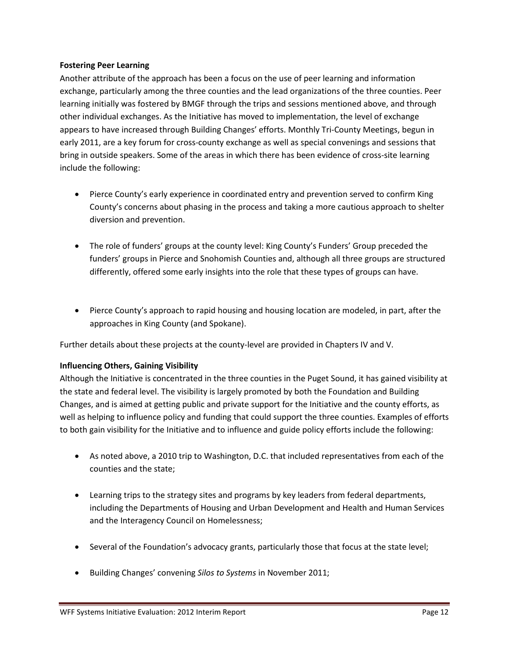## **Fostering Peer Learning**

Another attribute of the approach has been a focus on the use of peer learning and information exchange, particularly among the three counties and the lead organizations of the three counties. Peer learning initially was fostered by BMGF through the trips and sessions mentioned above, and through other individual exchanges. As the Initiative has moved to implementation, the level of exchange appears to have increased through Building Changes' efforts. Monthly Tri-County Meetings, begun in early 2011, are a key forum for cross-county exchange as well as special convenings and sessions that bring in outside speakers. Some of the areas in which there has been evidence of cross-site learning include the following:

- Pierce County's early experience in coordinated entry and prevention served to confirm King County's concerns about phasing in the process and taking a more cautious approach to shelter diversion and prevention.
- The role of funders' groups at the county level: King County's Funders' Group preceded the funders' groups in Pierce and Snohomish Counties and, although all three groups are structured differently, offered some early insights into the role that these types of groups can have.
- Pierce County's approach to rapid housing and housing location are modeled, in part, after the approaches in King County (and Spokane).

Further details about these projects at the county-level are provided in Chapters IV and V.

# **Influencing Others, Gaining Visibility**

Although the Initiative is concentrated in the three counties in the Puget Sound, it has gained visibility at the state and federal level. The visibility is largely promoted by both the Foundation and Building Changes, and is aimed at getting public and private support for the Initiative and the county efforts, as well as helping to influence policy and funding that could support the three counties. Examples of efforts to both gain visibility for the Initiative and to influence and guide policy efforts include the following:

- As noted above, a 2010 trip to Washington, D.C. that included representatives from each of the counties and the state;
- Learning trips to the strategy sites and programs by key leaders from federal departments, including the Departments of Housing and Urban Development and Health and Human Services and the Interagency Council on Homelessness;
- Several of the Foundation's advocacy grants, particularly those that focus at the state level;
- Building Changes' convening *Silos to Systems* in November 2011;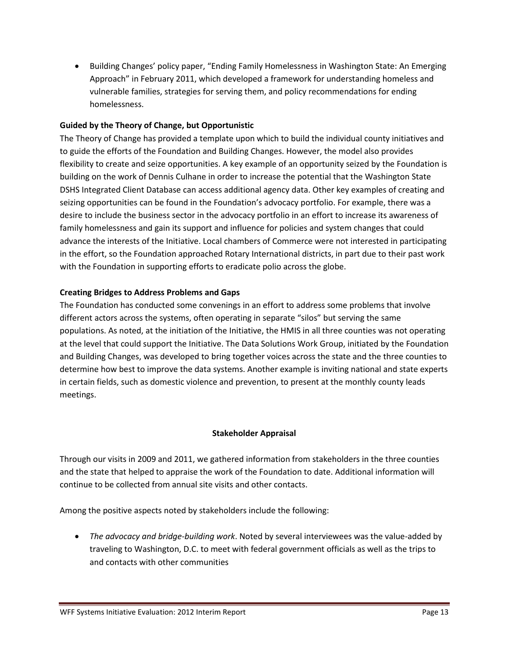• Building Changes' policy paper, "Ending Family Homelessness in Washington State: An Emerging Approach" in February 2011, which developed a framework for understanding homeless and vulnerable families, strategies for serving them, and policy recommendations for ending homelessness.

## **Guided by the Theory of Change, but Opportunistic**

The Theory of Change has provided a template upon which to build the individual county initiatives and to guide the efforts of the Foundation and Building Changes. However, the model also provides flexibility to create and seize opportunities. A key example of an opportunity seized by the Foundation is building on the work of Dennis Culhane in order to increase the potential that the Washington State DSHS Integrated Client Database can access additional agency data. Other key examples of creating and seizing opportunities can be found in the Foundation's advocacy portfolio. For example, there was a desire to include the business sector in the advocacy portfolio in an effort to increase its awareness of family homelessness and gain its support and influence for policies and system changes that could advance the interests of the Initiative. Local chambers of Commerce were not interested in participating in the effort, so the Foundation approached Rotary International districts, in part due to their past work with the Foundation in supporting efforts to eradicate polio across the globe.

## **Creating Bridges to Address Problems and Gaps**

The Foundation has conducted some convenings in an effort to address some problems that involve different actors across the systems, often operating in separate "silos" but serving the same populations. As noted, at the initiation of the Initiative, the HMIS in all three counties was not operating at the level that could support the Initiative. The Data Solutions Work Group, initiated by the Foundation and Building Changes, was developed to bring together voices across the state and the three counties to determine how best to improve the data systems. Another example is inviting national and state experts in certain fields, such as domestic violence and prevention, to present at the monthly county leads meetings.

### **Stakeholder Appraisal**

Through our visits in 2009 and 2011, we gathered information from stakeholders in the three counties and the state that helped to appraise the work of the Foundation to date. Additional information will continue to be collected from annual site visits and other contacts.

Among the positive aspects noted by stakeholders include the following:

• *The advocacy and bridge-building work*. Noted by several interviewees was the value-added by traveling to Washington, D.C. to meet with federal government officials as well as the trips to and contacts with other communities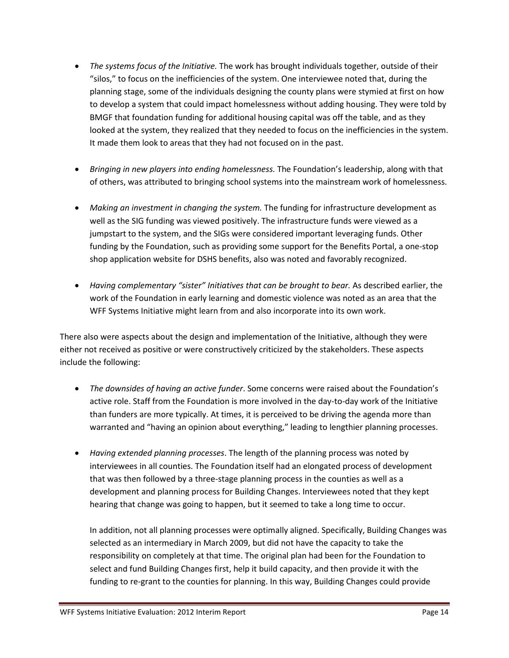- *The systems focus of the Initiative.* The work has brought individuals together, outside of their "silos," to focus on the inefficiencies of the system. One interviewee noted that, during the planning stage, some of the individuals designing the county plans were stymied at first on how to develop a system that could impact homelessness without adding housing. They were told by BMGF that foundation funding for additional housing capital was off the table, and as they looked at the system, they realized that they needed to focus on the inefficiencies in the system. It made them look to areas that they had not focused on in the past.
- *Bringing in new players into ending homelessness.* The Foundation's leadership, along with that of others, was attributed to bringing school systems into the mainstream work of homelessness.
- *Making an investment in changing the system.* The funding for infrastructure development as well as the SIG funding was viewed positively. The infrastructure funds were viewed as a jumpstart to the system, and the SIGs were considered important leveraging funds. Other funding by the Foundation, such as providing some support for the Benefits Portal, a one-stop shop application website for DSHS benefits, also was noted and favorably recognized.
- *Having complementary "sister" Initiatives that can be brought to bear.* As described earlier, the work of the Foundation in early learning and domestic violence was noted as an area that the WFF Systems Initiative might learn from and also incorporate into its own work.

There also were aspects about the design and implementation of the Initiative, although they were either not received as positive or were constructively criticized by the stakeholders. These aspects include the following:

- *The downsides of having an active funder*. Some concerns were raised about the Foundation's active role. Staff from the Foundation is more involved in the day-to-day work of the Initiative than funders are more typically. At times, it is perceived to be driving the agenda more than warranted and "having an opinion about everything," leading to lengthier planning processes.
- *Having extended planning processes*. The length of the planning process was noted by interviewees in all counties. The Foundation itself had an elongated process of development that was then followed by a three-stage planning process in the counties as well as a development and planning process for Building Changes. Interviewees noted that they kept hearing that change was going to happen, but it seemed to take a long time to occur.

In addition, not all planning processes were optimally aligned. Specifically, Building Changes was selected as an intermediary in March 2009, but did not have the capacity to take the responsibility on completely at that time. The original plan had been for the Foundation to select and fund Building Changes first, help it build capacity, and then provide it with the funding to re-grant to the counties for planning. In this way, Building Changes could provide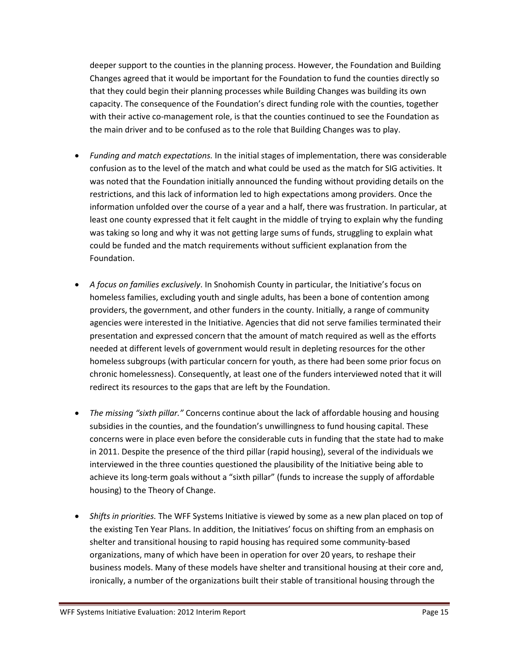deeper support to the counties in the planning process. However, the Foundation and Building Changes agreed that it would be important for the Foundation to fund the counties directly so that they could begin their planning processes while Building Changes was building its own capacity. The consequence of the Foundation's direct funding role with the counties, together with their active co-management role, is that the counties continued to see the Foundation as the main driver and to be confused as to the role that Building Changes was to play.

- *Funding and match expectations.* In the initial stages of implementation, there was considerable confusion as to the level of the match and what could be used as the match for SIG activities. It was noted that the Foundation initially announced the funding without providing details on the restrictions, and this lack of information led to high expectations among providers. Once the information unfolded over the course of a year and a half, there was frustration. In particular, at least one county expressed that it felt caught in the middle of trying to explain why the funding was taking so long and why it was not getting large sums of funds, struggling to explain what could be funded and the match requirements without sufficient explanation from the Foundation.
- *A focus on families exclusively*. In Snohomish County in particular, the Initiative's focus on homeless families, excluding youth and single adults, has been a bone of contention among providers, the government, and other funders in the county. Initially, a range of community agencies were interested in the Initiative. Agencies that did not serve families terminated their presentation and expressed concern that the amount of match required as well as the efforts needed at different levels of government would result in depleting resources for the other homeless subgroups (with particular concern for youth, as there had been some prior focus on chronic homelessness). Consequently, at least one of the funders interviewed noted that it will redirect its resources to the gaps that are left by the Foundation.
- *The missing "sixth pillar."* Concerns continue about the lack of affordable housing and housing subsidies in the counties, and the foundation's unwillingness to fund housing capital. These concerns were in place even before the considerable cuts in funding that the state had to make in 2011. Despite the presence of the third pillar (rapid housing), several of the individuals we interviewed in the three counties questioned the plausibility of the Initiative being able to achieve its long-term goals without a "sixth pillar" (funds to increase the supply of affordable housing) to the Theory of Change.
- *Shifts in priorities.* The WFF Systems Initiative is viewed by some as a new plan placed on top of the existing Ten Year Plans. In addition, the Initiatives' focus on shifting from an emphasis on shelter and transitional housing to rapid housing has required some community-based organizations, many of which have been in operation for over 20 years, to reshape their business models. Many of these models have shelter and transitional housing at their core and, ironically, a number of the organizations built their stable of transitional housing through the